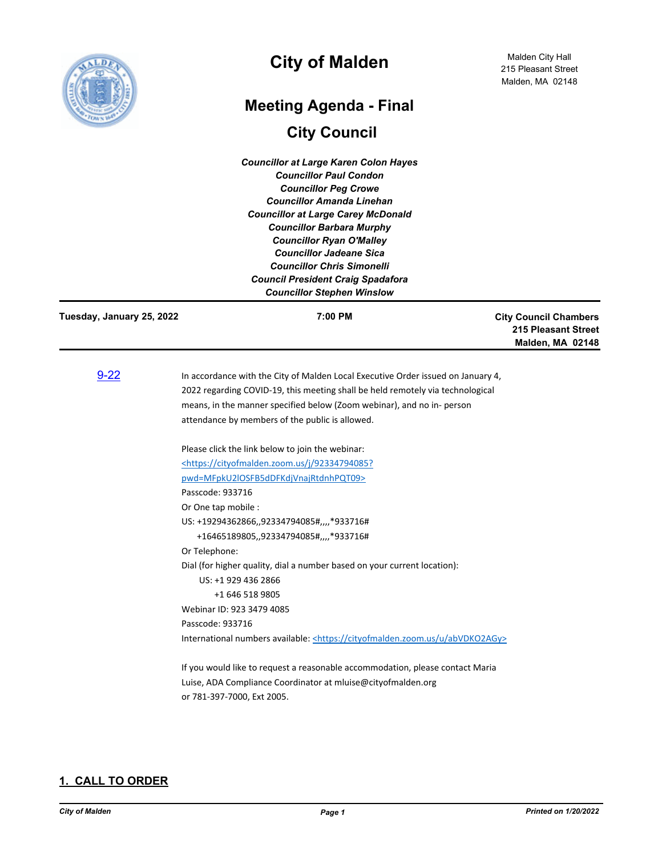

## **City of Malden**

# **City Council Meeting Agenda - Final**

*Councillor at Large Karen Colon Hayes Councillor Paul Condon Councillor Peg Crowe Councillor Amanda Linehan Councillor at Large Carey McDonald Councillor Barbara Murphy Councillor Ryan O'Malley Councillor Jadeane Sica Councillor Chris Simonelli Council President Craig Spadafora Councillor Stephen Winslow*

| Tuesday, January 25, 2022 | 7:00 PM                                                                                                                                                                                                                                                                                         | <b>City Council Chambers</b><br><b>215 Pleasant Street</b><br>Malden, MA 02148 |
|---------------------------|-------------------------------------------------------------------------------------------------------------------------------------------------------------------------------------------------------------------------------------------------------------------------------------------------|--------------------------------------------------------------------------------|
| $9 - 22$                  | In accordance with the City of Malden Local Executive Order issued on January 4,<br>2022 regarding COVID-19, this meeting shall be held remotely via technological<br>means, in the manner specified below (Zoom webinar), and no in- person<br>attendance by members of the public is allowed. |                                                                                |
|                           | Please click the link below to join the webinar:                                                                                                                                                                                                                                                |                                                                                |
|                           | <https: 92334794085?<="" cityofmalden.zoom.us="" j="" td=""><td></td></https:>                                                                                                                                                                                                                  |                                                                                |
|                           | pwd=MFpkU2IOSFB5dDFKdjVnajRtdnhPQT09>                                                                                                                                                                                                                                                           |                                                                                |
|                           | Passcode: 933716                                                                                                                                                                                                                                                                                |                                                                                |
|                           | Or One tap mobile :                                                                                                                                                                                                                                                                             |                                                                                |
|                           | US: +19294362866,,92334794085#,,,,*933716#                                                                                                                                                                                                                                                      |                                                                                |
|                           | +16465189805,,92334794085#,,,,*933716#                                                                                                                                                                                                                                                          |                                                                                |
|                           | Or Telephone:                                                                                                                                                                                                                                                                                   |                                                                                |
|                           | Dial (for higher quality, dial a number based on your current location):                                                                                                                                                                                                                        |                                                                                |
|                           | US: +1 929 436 2866                                                                                                                                                                                                                                                                             |                                                                                |
|                           | +1 646 518 9805                                                                                                                                                                                                                                                                                 |                                                                                |
|                           | Webinar ID: 923 3479 4085                                                                                                                                                                                                                                                                       |                                                                                |
|                           | Passcode: 933716                                                                                                                                                                                                                                                                                |                                                                                |
|                           | International numbers available: <https: abvdko2agy="" cityofmalden.zoom.us="" u=""></https:>                                                                                                                                                                                                   |                                                                                |
|                           | If you would like to request a reasonable accommodation, please contact Maria                                                                                                                                                                                                                   |                                                                                |
|                           | Luise, ADA Compliance Coordinator at mluise@cityofmalden.org                                                                                                                                                                                                                                    |                                                                                |

or 781-397-7000, Ext 2005.

## **1. CALL TO ORDER**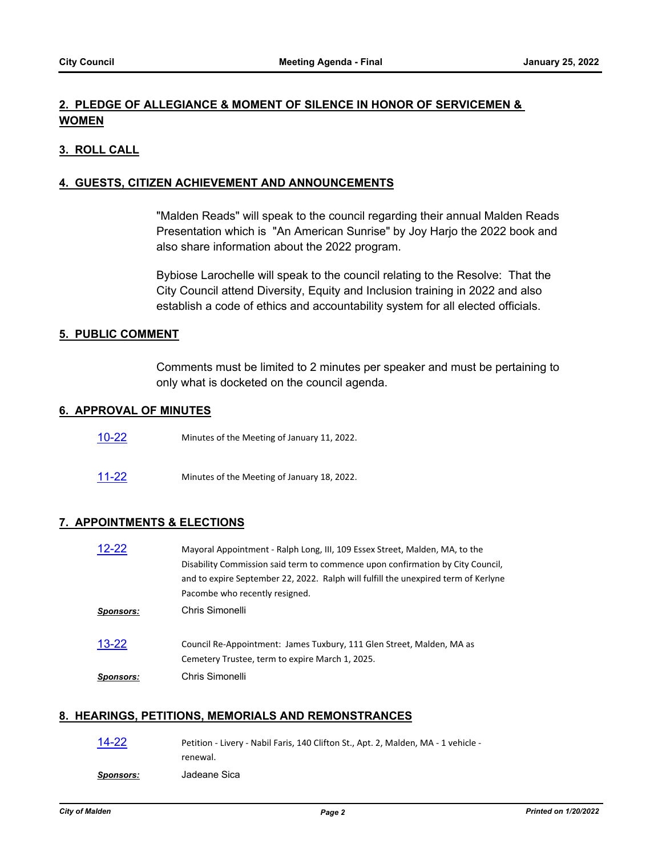## **2. PLEDGE OF ALLEGIANCE & MOMENT OF SILENCE IN HONOR OF SERVICEMEN & WOMEN**

#### **3. ROLL CALL**

#### **4. GUESTS, CITIZEN ACHIEVEMENT AND ANNOUNCEMENTS**

"Malden Reads" will speak to the council regarding their annual Malden Reads Presentation which is "An American Sunrise" by Joy Harjo the 2022 book and also share information about the 2022 program.

Bybiose Larochelle will speak to the council relating to the Resolve: That the City Council attend Diversity, Equity and Inclusion training in 2022 and also establish a code of ethics and accountability system for all elected officials.

#### **5. PUBLIC COMMENT**

Comments must be limited to 2 minutes per speaker and must be pertaining to only what is docketed on the council agenda.

#### **6. APPROVAL OF MINUTES**

- [10-22](http://cityofmalden.legistar.com/gateway.aspx?m=l&id=/matter.aspx?key=10249) Minutes of the Meeting of January 11, 2022.
- [11-22](http://cityofmalden.legistar.com/gateway.aspx?m=l&id=/matter.aspx?key=10250) Minutes of the Meeting of January 18, 2022.

#### **7. APPOINTMENTS & ELECTIONS**

| $12 - 22$        | Mayoral Appointment - Ralph Long, III, 109 Essex Street, Malden, MA, to the        |
|------------------|------------------------------------------------------------------------------------|
|                  | Disability Commission said term to commence upon confirmation by City Council,     |
|                  | and to expire September 22, 2022. Ralph will fulfill the unexpired term of Kerlyne |
|                  | Pacombe who recently resigned.                                                     |
| <b>Sponsors:</b> | Chris Simonelli                                                                    |
| $13 - 22$        | Council Re-Appointment: James Tuxbury, 111 Glen Street, Malden, MA as              |
|                  | Cemetery Trustee, term to expire March 1, 2025.                                    |
| <b>Sponsors:</b> | Chris Simonelli                                                                    |
|                  |                                                                                    |

#### **8. HEARINGS, PETITIONS, MEMORIALS AND REMONSTRANCES**

| $14 - 22$ | Petition - Livery - Nabil Faris, 140 Clifton St., Apt. 2, Malden, MA - 1 vehicle - |
|-----------|------------------------------------------------------------------------------------|
|           | renewal.                                                                           |
| Sponsors: | Jadeane Sica                                                                       |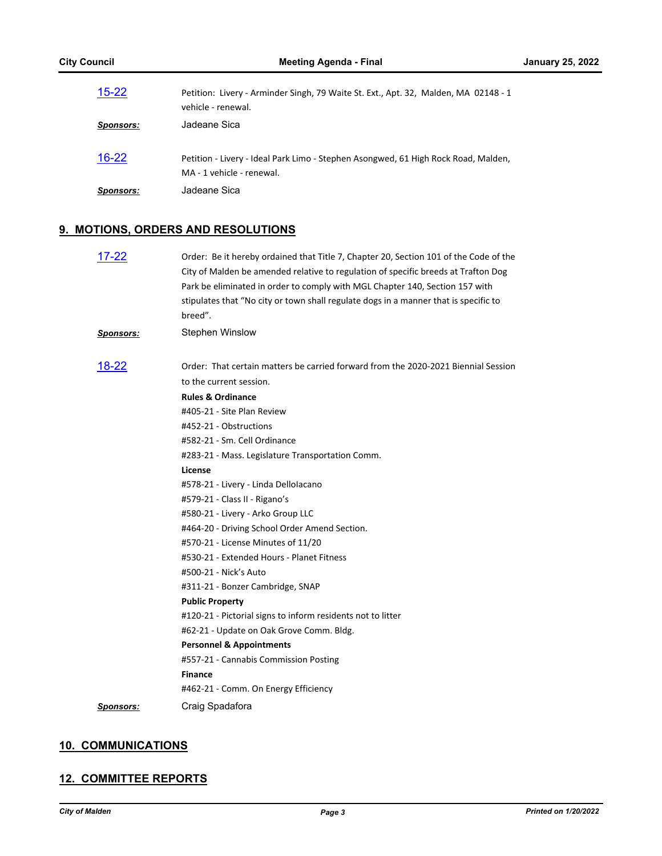| $15 - 22$        | Petition: Livery - Arminder Singh, 79 Waite St. Ext., Apt. 32, Malden, MA 02148 - 1<br>vehicle - renewal.       |
|------------------|-----------------------------------------------------------------------------------------------------------------|
| Sponsors:        | Jadeane Sica                                                                                                    |
| $16 - 22$        | Petition - Livery - Ideal Park Limo - Stephen Asongwed, 61 High Rock Road, Malden,<br>MA - 1 vehicle - renewal. |
| <b>Sponsors:</b> | Jadeane Sica                                                                                                    |

## **9. MOTIONS, ORDERS AND RESOLUTIONS**

| $17 - 22$        | Order: Be it hereby ordained that Title 7, Chapter 20, Section 101 of the Code of the<br>City of Malden be amended relative to regulation of specific breeds at Trafton Dog<br>Park be eliminated in order to comply with MGL Chapter 140, Section 157 with<br>stipulates that "No city or town shall regulate dogs in a manner that is specific to<br>breed". |
|------------------|----------------------------------------------------------------------------------------------------------------------------------------------------------------------------------------------------------------------------------------------------------------------------------------------------------------------------------------------------------------|
| <b>Sponsors:</b> | <b>Stephen Winslow</b>                                                                                                                                                                                                                                                                                                                                         |
| 18-22            | Order: That certain matters be carried forward from the 2020-2021 Biennial Session                                                                                                                                                                                                                                                                             |
|                  | to the current session.                                                                                                                                                                                                                                                                                                                                        |
|                  | <b>Rules &amp; Ordinance</b>                                                                                                                                                                                                                                                                                                                                   |
|                  | #405-21 - Site Plan Review                                                                                                                                                                                                                                                                                                                                     |
|                  | #452-21 - Obstructions                                                                                                                                                                                                                                                                                                                                         |
|                  | #582-21 - Sm. Cell Ordinance                                                                                                                                                                                                                                                                                                                                   |
|                  | #283-21 - Mass. Legislature Transportation Comm.                                                                                                                                                                                                                                                                                                               |
|                  | License                                                                                                                                                                                                                                                                                                                                                        |
|                  | #578-21 - Livery - Linda Dellolacano                                                                                                                                                                                                                                                                                                                           |
|                  | #579-21 - Class II - Rigano's                                                                                                                                                                                                                                                                                                                                  |
|                  | #580-21 - Livery - Arko Group LLC                                                                                                                                                                                                                                                                                                                              |
|                  | #464-20 - Driving School Order Amend Section.                                                                                                                                                                                                                                                                                                                  |
|                  | #570-21 - License Minutes of 11/20                                                                                                                                                                                                                                                                                                                             |
|                  | #530-21 - Extended Hours - Planet Fitness                                                                                                                                                                                                                                                                                                                      |
|                  | #500-21 - Nick's Auto                                                                                                                                                                                                                                                                                                                                          |
|                  | #311-21 - Bonzer Cambridge, SNAP                                                                                                                                                                                                                                                                                                                               |
|                  | <b>Public Property</b>                                                                                                                                                                                                                                                                                                                                         |
|                  | #120-21 - Pictorial signs to inform residents not to litter                                                                                                                                                                                                                                                                                                    |
|                  | #62-21 - Update on Oak Grove Comm. Bldg.                                                                                                                                                                                                                                                                                                                       |
|                  | <b>Personnel &amp; Appointments</b>                                                                                                                                                                                                                                                                                                                            |
|                  | #557-21 - Cannabis Commission Posting                                                                                                                                                                                                                                                                                                                          |
|                  | <b>Finance</b>                                                                                                                                                                                                                                                                                                                                                 |
|                  | #462-21 - Comm. On Energy Efficiency                                                                                                                                                                                                                                                                                                                           |
| Sponsors:        | Craig Spadafora                                                                                                                                                                                                                                                                                                                                                |

#### **10. COMMUNICATIONS**

#### **12. COMMITTEE REPORTS**